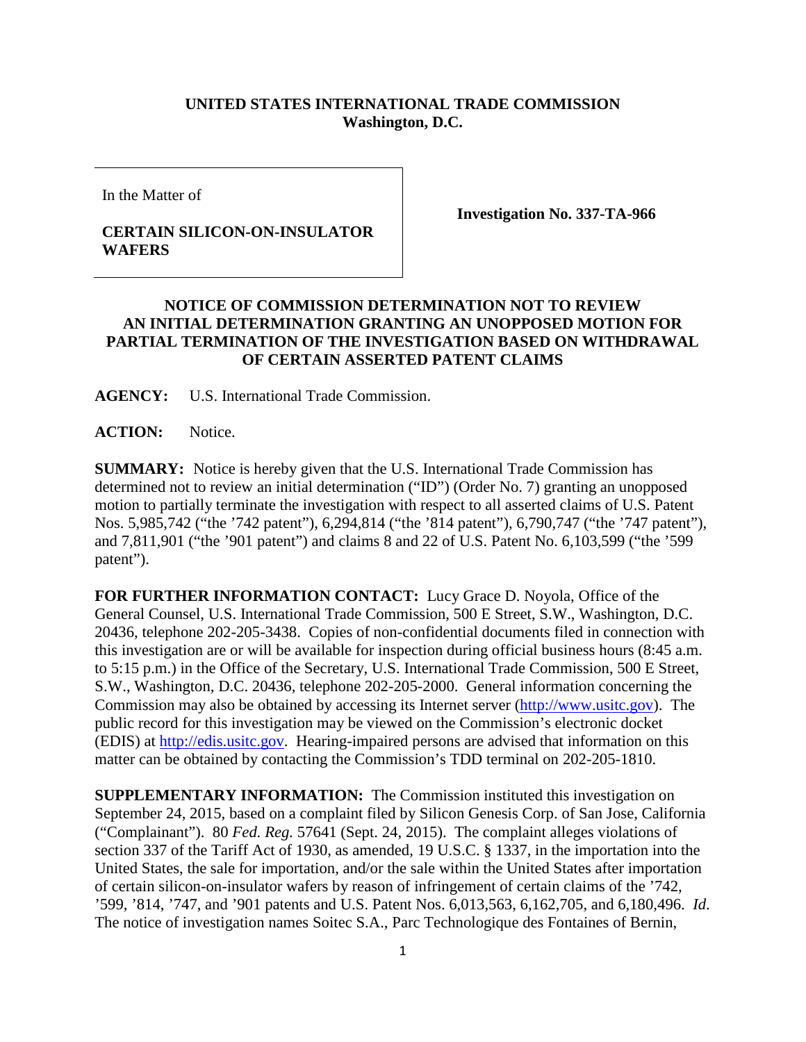## **UNITED STATES INTERNATIONAL TRADE COMMISSION Washington, D.C.**

In the Matter of

## **CERTAIN SILICON-ON-INSULATOR WAFERS**

**Investigation No. 337-TA-966**

## **NOTICE OF COMMISSION DETERMINATION NOT TO REVIEW AN INITIAL DETERMINATION GRANTING AN UNOPPOSED MOTION FOR PARTIAL TERMINATION OF THE INVESTIGATION BASED ON WITHDRAWAL OF CERTAIN ASSERTED PATENT CLAIMS**

**AGENCY:** U.S. International Trade Commission.

ACTION: Notice.

**SUMMARY:** Notice is hereby given that the U.S. International Trade Commission has determined not to review an initial determination ("ID") (Order No. 7) granting an unopposed motion to partially terminate the investigation with respect to all asserted claims of U.S. Patent Nos. 5,985,742 ("the '742 patent"), 6,294,814 ("the '814 patent"), 6,790,747 ("the '747 patent"), and 7,811,901 ("the '901 patent") and claims 8 and 22 of U.S. Patent No. 6,103,599 ("the '599 patent").

**FOR FURTHER INFORMATION CONTACT:** Lucy Grace D. Noyola, Office of the General Counsel, U.S. International Trade Commission, 500 E Street, S.W., Washington, D.C. 20436, telephone 202-205-3438. Copies of non-confidential documents filed in connection with this investigation are or will be available for inspection during official business hours (8:45 a.m. to 5:15 p.m.) in the Office of the Secretary, U.S. International Trade Commission, 500 E Street, S.W., Washington, D.C. 20436, telephone 202-205-2000. General information concerning the Commission may also be obtained by accessing its Internet server [\(http://www.usitc.gov\)](http://www.usitc.gov/). The public record for this investigation may be viewed on the Commission's electronic docket (EDIS) at [http://edis.usitc.gov.](http://edis.usitc.gov/) Hearing-impaired persons are advised that information on this matter can be obtained by contacting the Commission's TDD terminal on 202-205-1810.

**SUPPLEMENTARY INFORMATION:** The Commission instituted this investigation on September 24, 2015, based on a complaint filed by Silicon Genesis Corp. of San Jose, California ("Complainant"). 80 *Fed. Reg.* 57641 (Sept. 24, 2015). The complaint alleges violations of section 337 of the Tariff Act of 1930, as amended, 19 U.S.C. § 1337, in the importation into the United States, the sale for importation, and/or the sale within the United States after importation of certain silicon-on-insulator wafers by reason of infringement of certain claims of the '742, '599, '814, '747, and '901 patents and U.S. Patent Nos. 6,013,563, 6,162,705, and 6,180,496. *Id*. The notice of investigation names Soitec S.A., Parc Technologique des Fontaines of Bernin,